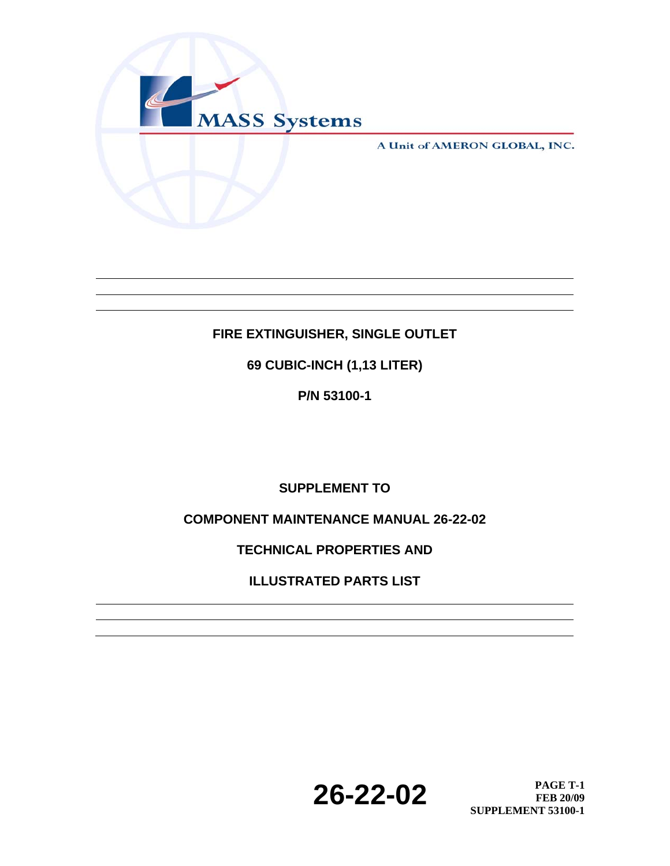

A Unit of AMERON GLOBAL, INC.

## **FIRE EXTINGUISHER, SINGLE OUTLET**

**69 CUBIC-INCH (1,13 LITER)** 

**P/N 53100-1** 

**SUPPLEMENT TO** 

**COMPONENT MAINTENANCE MANUAL 26-22-02** 

**TECHNICAL PROPERTIES AND** 

**ILLUSTRATED PARTS LIST** 

**26-22-02 PAGE T-1 PAGE T-1 FEB 20/09 SUPPLEMENT 53100-1**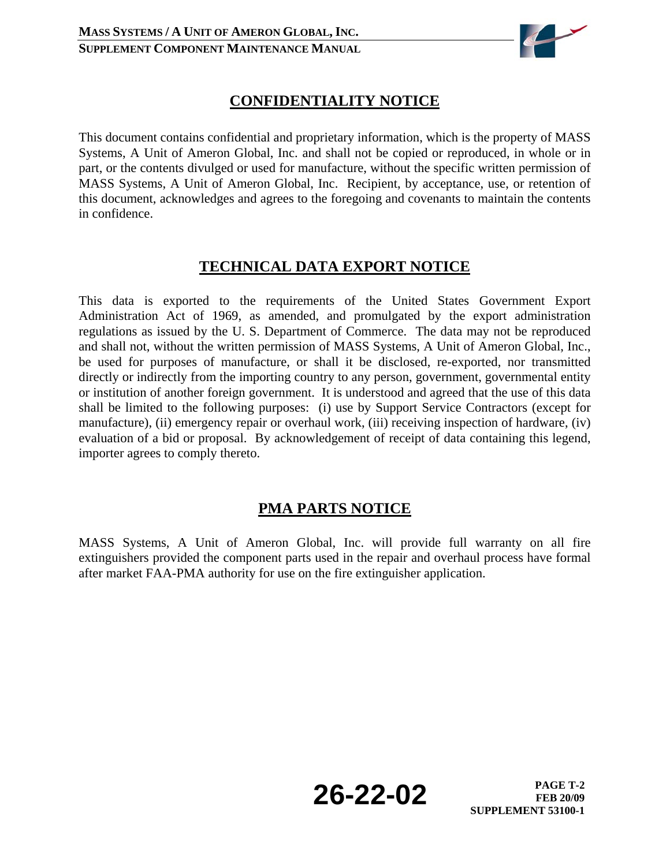

## **CONFIDENTIALITY NOTICE**

This document contains confidential and proprietary information, which is the property of MASS Systems, A Unit of Ameron Global, Inc. and shall not be copied or reproduced, in whole or in part, or the contents divulged or used for manufacture, without the specific written permission of MASS Systems, A Unit of Ameron Global, Inc. Recipient, by acceptance, use, or retention of this document, acknowledges and agrees to the foregoing and covenants to maintain the contents in confidence.

## **TECHNICAL DATA EXPORT NOTICE**

This data is exported to the requirements of the United States Government Export Administration Act of 1969, as amended, and promulgated by the export administration regulations as issued by the U. S. Department of Commerce. The data may not be reproduced and shall not, without the written permission of MASS Systems, A Unit of Ameron Global, Inc., be used for purposes of manufacture, or shall it be disclosed, re-exported, nor transmitted directly or indirectly from the importing country to any person, government, governmental entity or institution of another foreign government. It is understood and agreed that the use of this data shall be limited to the following purposes: (i) use by Support Service Contractors (except for manufacture), (ii) emergency repair or overhaul work, (iii) receiving inspection of hardware, (iv) evaluation of a bid or proposal. By acknowledgement of receipt of data containing this legend, importer agrees to comply thereto.

### **PMA PARTS NOTICE**

MASS Systems, A Unit of Ameron Global, Inc. will provide full warranty on all fire extinguishers provided the component parts used in the repair and overhaul process have formal after market FAA-PMA authority for use on the fire extinguisher application.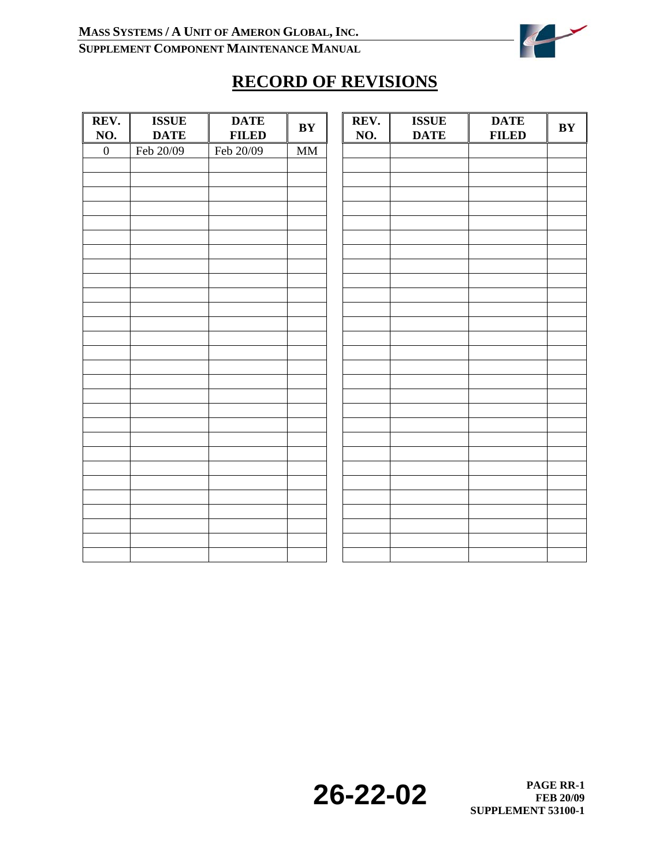

# **RECORD OF REVISIONS**

| REV.<br>NO.      | <b>ISSUE</b><br><b>DATE</b> | <b>DATE</b><br><b>FILED</b> | BY                     | REV.<br>NO. | <b>ISSUE</b><br><b>DATE</b> | <b>DATE</b><br><b>FILED</b> | $\mathbf{B}\mathbf{Y}$ |
|------------------|-----------------------------|-----------------------------|------------------------|-------------|-----------------------------|-----------------------------|------------------------|
| $\boldsymbol{0}$ | Feb 20/09                   | Feb 20/09                   | $\mathbf{M}\mathbf{M}$ |             |                             |                             |                        |
|                  |                             |                             |                        |             |                             |                             |                        |
|                  |                             |                             |                        |             |                             |                             |                        |
|                  |                             |                             |                        |             |                             |                             |                        |
|                  |                             |                             |                        |             |                             |                             |                        |
|                  |                             |                             |                        |             |                             |                             |                        |
|                  |                             |                             |                        |             |                             |                             |                        |
|                  |                             |                             |                        |             |                             |                             |                        |
|                  |                             |                             |                        |             |                             |                             |                        |
|                  |                             |                             |                        |             |                             |                             |                        |
|                  |                             |                             |                        |             |                             |                             |                        |
|                  |                             |                             |                        |             |                             |                             |                        |
|                  |                             |                             |                        |             |                             |                             |                        |
|                  |                             |                             |                        |             |                             |                             |                        |
|                  |                             |                             |                        |             |                             |                             |                        |
|                  |                             |                             |                        |             |                             |                             |                        |
|                  |                             |                             |                        |             |                             |                             |                        |
|                  |                             |                             |                        |             |                             |                             |                        |
|                  |                             |                             |                        |             |                             |                             |                        |
|                  |                             |                             |                        |             |                             |                             |                        |
|                  |                             |                             |                        |             |                             |                             |                        |
|                  |                             |                             |                        |             |                             |                             |                        |
|                  |                             |                             |                        |             |                             |                             |                        |
|                  |                             |                             |                        |             |                             |                             |                        |
|                  |                             |                             |                        |             |                             |                             |                        |
|                  |                             |                             |                        |             |                             |                             |                        |
|                  |                             |                             |                        |             |                             |                             |                        |
|                  |                             |                             |                        |             |                             |                             |                        |
|                  |                             |                             |                        |             |                             |                             |                        |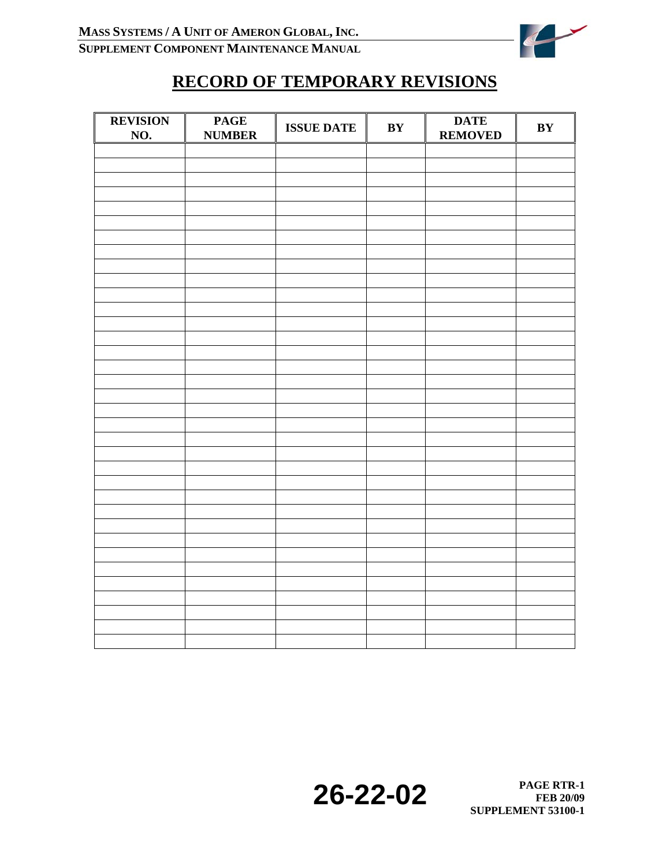

# **RECORD OF TEMPORARY REVISIONS**

| <b>REVISION</b><br><u>NO.</u> | <b>PAGE</b><br><b>NUMBER</b> | <b>ISSUE DATE</b> | BY | <b>DATE</b><br><b>REMOVED</b> | BY |
|-------------------------------|------------------------------|-------------------|----|-------------------------------|----|
|                               |                              |                   |    |                               |    |
|                               |                              |                   |    |                               |    |
|                               |                              |                   |    |                               |    |
|                               |                              |                   |    |                               |    |
|                               |                              |                   |    |                               |    |
|                               |                              |                   |    |                               |    |
|                               |                              |                   |    |                               |    |
|                               |                              |                   |    |                               |    |
|                               |                              |                   |    |                               |    |
|                               |                              |                   |    |                               |    |
|                               |                              |                   |    |                               |    |
|                               |                              |                   |    |                               |    |
|                               |                              |                   |    |                               |    |
|                               |                              |                   |    |                               |    |
|                               |                              |                   |    |                               |    |
|                               |                              |                   |    |                               |    |
|                               |                              |                   |    |                               |    |
|                               |                              |                   |    |                               |    |
|                               |                              |                   |    |                               |    |
|                               |                              |                   |    |                               |    |
|                               |                              |                   |    |                               |    |
|                               |                              |                   |    |                               |    |
|                               |                              |                   |    |                               |    |
|                               |                              |                   |    |                               |    |
|                               |                              |                   |    |                               |    |
|                               |                              |                   |    |                               |    |
|                               |                              |                   |    |                               |    |
|                               |                              |                   |    |                               |    |
|                               |                              |                   |    |                               |    |
|                               |                              |                   |    |                               |    |
|                               |                              |                   |    |                               |    |
|                               |                              |                   |    |                               |    |
|                               |                              |                   |    |                               |    |
|                               |                              |                   |    |                               |    |
|                               |                              |                   |    |                               |    |
|                               |                              |                   |    |                               |    |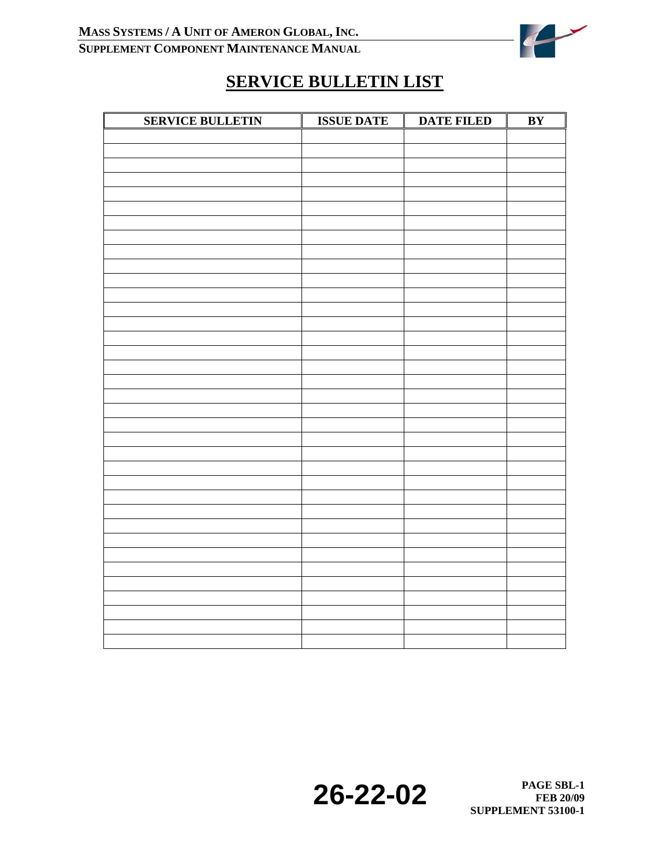

# **SERVICE BULLETIN LIST**

| <b>SERVICE BULLETIN</b> | <b>ISSUE DATE</b> | <b>DATE FILED</b> | BY |
|-------------------------|-------------------|-------------------|----|
|                         |                   |                   |    |
|                         |                   |                   |    |
|                         |                   |                   |    |
|                         |                   |                   |    |
|                         |                   |                   |    |
|                         |                   |                   |    |
|                         |                   |                   |    |
|                         |                   |                   |    |
|                         |                   |                   |    |
|                         |                   |                   |    |
|                         |                   |                   |    |
|                         |                   |                   |    |
|                         |                   |                   |    |
|                         |                   |                   |    |
|                         |                   |                   |    |
|                         |                   |                   |    |
|                         |                   |                   |    |
|                         |                   |                   |    |
|                         |                   |                   |    |
|                         |                   |                   |    |
|                         |                   |                   |    |
|                         |                   |                   |    |
|                         |                   |                   |    |
|                         |                   |                   |    |
|                         |                   |                   |    |
|                         |                   |                   |    |
|                         |                   |                   |    |
|                         |                   |                   |    |
|                         |                   |                   |    |
|                         |                   |                   |    |
|                         |                   |                   |    |
|                         |                   |                   |    |
|                         |                   |                   |    |
|                         |                   |                   |    |
|                         |                   |                   |    |
|                         |                   |                   |    |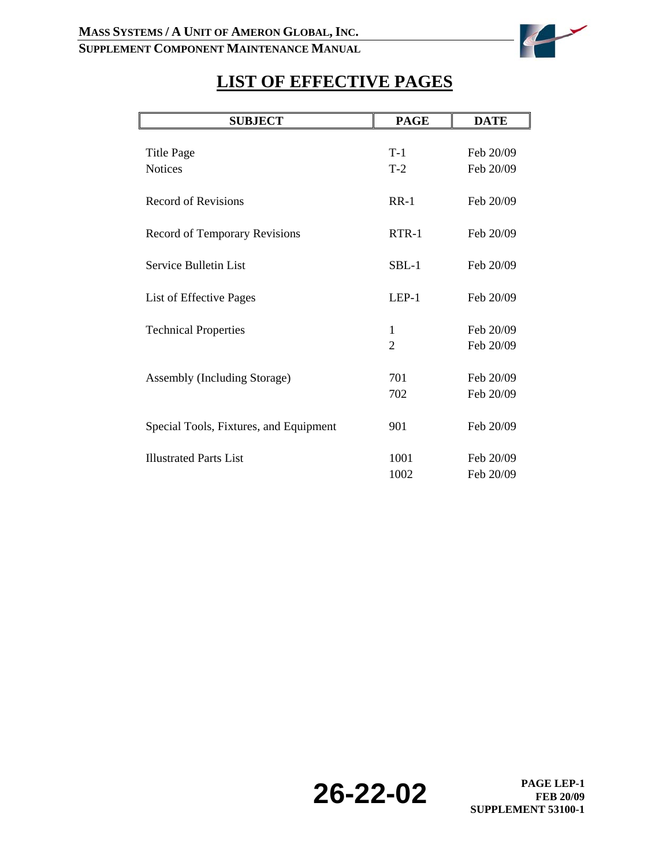

# **LIST OF EFFECTIVE PAGES**

| <b>SUBJECT</b>                         | <b>PAGE</b>    | <b>DATE</b> |
|----------------------------------------|----------------|-------------|
|                                        |                |             |
| <b>Title Page</b>                      | $T-1$          | Feb 20/09   |
| <b>Notices</b>                         | $T-2$          | Feb 20/09   |
| <b>Record of Revisions</b>             | $RR-1$         | Feb 20/09   |
| Record of Temporary Revisions          | $RTR-1$        | Feb 20/09   |
| Service Bulletin List                  | $SBL-1$        | Feb 20/09   |
| List of Effective Pages                | $LEP-1$        | Feb 20/09   |
| <b>Technical Properties</b>            | 1              | Feb 20/09   |
|                                        | $\overline{2}$ | Feb 20/09   |
|                                        |                |             |
| Assembly (Including Storage)           | 701            | Feb 20/09   |
|                                        | 702            | Feb 20/09   |
| Special Tools, Fixtures, and Equipment | 901            | Feb 20/09   |
| <b>Illustrated Parts List</b>          | 1001           | Feb 20/09   |
|                                        | 1002           | Feb 20/09   |

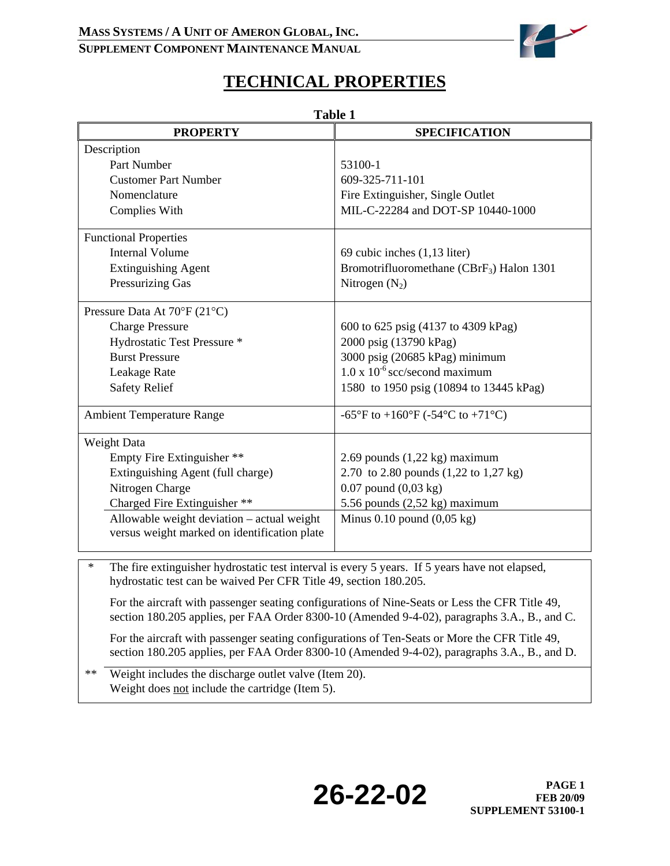### **MASS SYSTEMS / A UNIT OF AMERON GLOBAL, INC.**

### **SUPPLEMENT COMPONENT MAINTENANCE MANUAL**



# **TECHNICAL PROPERTIES**

| <b>Table 1</b>                                                                                                                                                                                 |                                                                                                                                                                                               |  |  |  |  |  |
|------------------------------------------------------------------------------------------------------------------------------------------------------------------------------------------------|-----------------------------------------------------------------------------------------------------------------------------------------------------------------------------------------------|--|--|--|--|--|
| <b>PROPERTY</b>                                                                                                                                                                                | <b>SPECIFICATION</b>                                                                                                                                                                          |  |  |  |  |  |
| Description                                                                                                                                                                                    |                                                                                                                                                                                               |  |  |  |  |  |
| Part Number                                                                                                                                                                                    | 53100-1                                                                                                                                                                                       |  |  |  |  |  |
| <b>Customer Part Number</b>                                                                                                                                                                    | 609-325-711-101                                                                                                                                                                               |  |  |  |  |  |
| Nomenclature                                                                                                                                                                                   | Fire Extinguisher, Single Outlet                                                                                                                                                              |  |  |  |  |  |
| Complies With                                                                                                                                                                                  | MIL-C-22284 and DOT-SP 10440-1000                                                                                                                                                             |  |  |  |  |  |
| <b>Functional Properties</b>                                                                                                                                                                   |                                                                                                                                                                                               |  |  |  |  |  |
| <b>Internal Volume</b>                                                                                                                                                                         | 69 cubic inches (1,13 liter)                                                                                                                                                                  |  |  |  |  |  |
| <b>Extinguishing Agent</b>                                                                                                                                                                     | Bromotrifluoromethane (CBrF <sub>3</sub> ) Halon 1301                                                                                                                                         |  |  |  |  |  |
| <b>Pressurizing Gas</b>                                                                                                                                                                        | Nitrogen $(N_2)$                                                                                                                                                                              |  |  |  |  |  |
| Pressure Data At 70°F (21°C)                                                                                                                                                                   |                                                                                                                                                                                               |  |  |  |  |  |
| <b>Charge Pressure</b>                                                                                                                                                                         | 600 to 625 psig (4137 to 4309 kPag)                                                                                                                                                           |  |  |  |  |  |
| Hydrostatic Test Pressure *                                                                                                                                                                    | 2000 psig (13790 kPag)                                                                                                                                                                        |  |  |  |  |  |
| <b>Burst Pressure</b>                                                                                                                                                                          | 3000 psig (20685 kPag) minimum                                                                                                                                                                |  |  |  |  |  |
| Leakage Rate                                                                                                                                                                                   | $1.0 \times 10^{-6}$ scc/second maximum                                                                                                                                                       |  |  |  |  |  |
| <b>Safety Relief</b>                                                                                                                                                                           | 1580 to 1950 psig (10894 to 13445 kPag)                                                                                                                                                       |  |  |  |  |  |
| <b>Ambient Temperature Range</b>                                                                                                                                                               | -65°F to +160°F (-54°C to +71°C)                                                                                                                                                              |  |  |  |  |  |
| Weight Data                                                                                                                                                                                    |                                                                                                                                                                                               |  |  |  |  |  |
| Empty Fire Extinguisher **                                                                                                                                                                     | 2.69 pounds $(1,22 \text{ kg})$ maximum                                                                                                                                                       |  |  |  |  |  |
| Extinguishing Agent (full charge)                                                                                                                                                              | 2.70 to 2.80 pounds (1,22 to 1,27 kg)                                                                                                                                                         |  |  |  |  |  |
| Nitrogen Charge                                                                                                                                                                                | $0.07$ pound $(0.03 \text{ kg})$                                                                                                                                                              |  |  |  |  |  |
| Charged Fire Extinguisher **                                                                                                                                                                   | 5.56 pounds (2,52 kg) maximum                                                                                                                                                                 |  |  |  |  |  |
| Allowable weight deviation - actual weight<br>versus weight marked on identification plate                                                                                                     | Minus $0.10$ pound $(0.05 \text{ kg})$                                                                                                                                                        |  |  |  |  |  |
| The fire extinguisher hydrostatic test interval is every 5 years. If 5 years have not elapsed,<br>$\ast$                                                                                       |                                                                                                                                                                                               |  |  |  |  |  |
| hydrostatic test can be waived Per CFR Title 49, section 180.205.                                                                                                                              |                                                                                                                                                                                               |  |  |  |  |  |
| For the aircraft with passenger seating configurations of Nine-Seats or Less the CFR Title 49,<br>section 180.205 applies, per FAA Order 8300-10 (Amended 9-4-02), paragraphs 3.A., B., and C. |                                                                                                                                                                                               |  |  |  |  |  |
|                                                                                                                                                                                                | For the aircraft with passenger seating configurations of Ten-Seats or More the CFR Title 49,<br>section 180.205 applies, per FAA Order 8300-10 (Amended 9-4-02), paragraphs 3.A., B., and D. |  |  |  |  |  |

\*\* Weight includes the discharge outlet valve (Item 20). Weight does not include the cartridge (Item 5).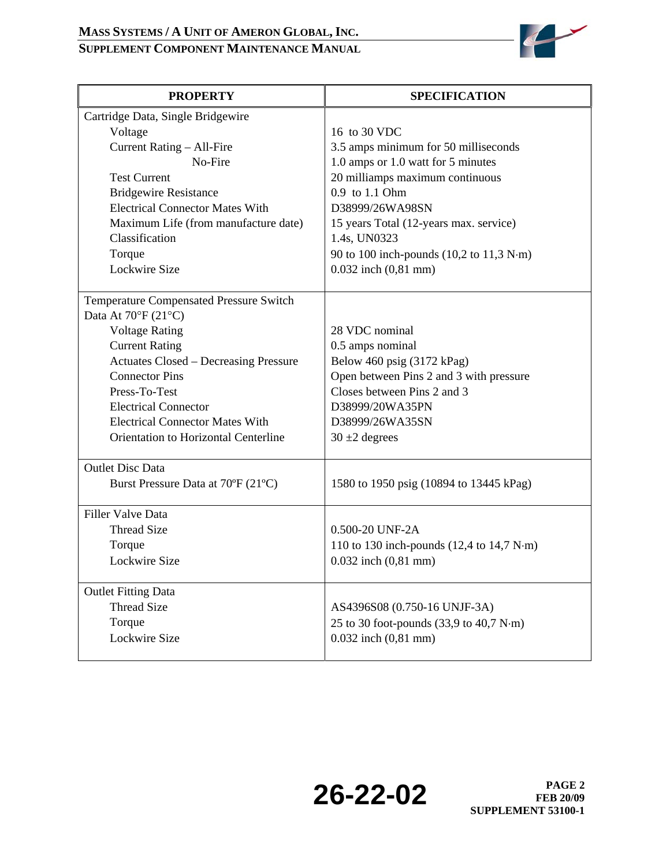

| <b>PROPERTY</b>                                | <b>SPECIFICATION</b>                                                    |
|------------------------------------------------|-------------------------------------------------------------------------|
| Cartridge Data, Single Bridgewire              |                                                                         |
| Voltage                                        | 16 to 30 VDC                                                            |
| Current Rating - All-Fire                      | 3.5 amps minimum for 50 milliseconds                                    |
| No-Fire                                        | 1.0 amps or 1.0 watt for 5 minutes                                      |
| <b>Test Current</b>                            | 20 milliamps maximum continuous                                         |
| <b>Bridgewire Resistance</b>                   | 0.9 to 1.1 Ohm                                                          |
| <b>Electrical Connector Mates With</b>         | D38999/26WA98SN                                                         |
| Maximum Life (from manufacture date)           | 15 years Total (12-years max. service)                                  |
| Classification                                 | 1.4s, UN0323                                                            |
| Torque                                         | 90 to 100 inch-pounds $(10,2 \text{ to } 11,3 \text{ N}\cdot\text{m})$  |
| Lockwire Size                                  | $0.032$ inch $(0, 81$ mm)                                               |
|                                                |                                                                         |
| <b>Temperature Compensated Pressure Switch</b> |                                                                         |
| Data At $70^{\circ}$ F (21°C)                  |                                                                         |
| <b>Voltage Rating</b>                          | 28 VDC nominal                                                          |
| <b>Current Rating</b>                          | 0.5 amps nominal                                                        |
| <b>Actuates Closed - Decreasing Pressure</b>   | Below 460 psig (3172 kPag)                                              |
| <b>Connector Pins</b>                          | Open between Pins 2 and 3 with pressure                                 |
| Press-To-Test                                  | Closes between Pins 2 and 3                                             |
| <b>Electrical Connector</b>                    | D38999/20WA35PN                                                         |
| <b>Electrical Connector Mates With</b>         | D38999/26WA35SN                                                         |
| Orientation to Horizontal Centerline           | $30 \pm 2$ degrees                                                      |
|                                                |                                                                         |
| <b>Outlet Disc Data</b>                        |                                                                         |
| Burst Pressure Data at 70°F (21°C)             | 1580 to 1950 psig (10894 to 13445 kPag)                                 |
|                                                |                                                                         |
| <b>Filler Valve Data</b>                       |                                                                         |
| <b>Thread Size</b>                             | 0.500-20 UNF-2A                                                         |
| Torque                                         | 110 to 130 inch-pounds $(12,4 \text{ to } 14,7 \text{ N}\cdot\text{m})$ |
| Lockwire Size                                  | $0.032$ inch $(0, 81$ mm)                                               |
|                                                |                                                                         |
| <b>Outlet Fitting Data</b>                     |                                                                         |
| <b>Thread Size</b>                             | AS4396S08 (0.750-16 UNJF-3A)                                            |
| Torque                                         | 25 to 30 foot-pounds (33,9 to 40,7 N·m)                                 |
| Lockwire Size                                  | $0.032$ inch $(0, 81$ mm)                                               |
|                                                |                                                                         |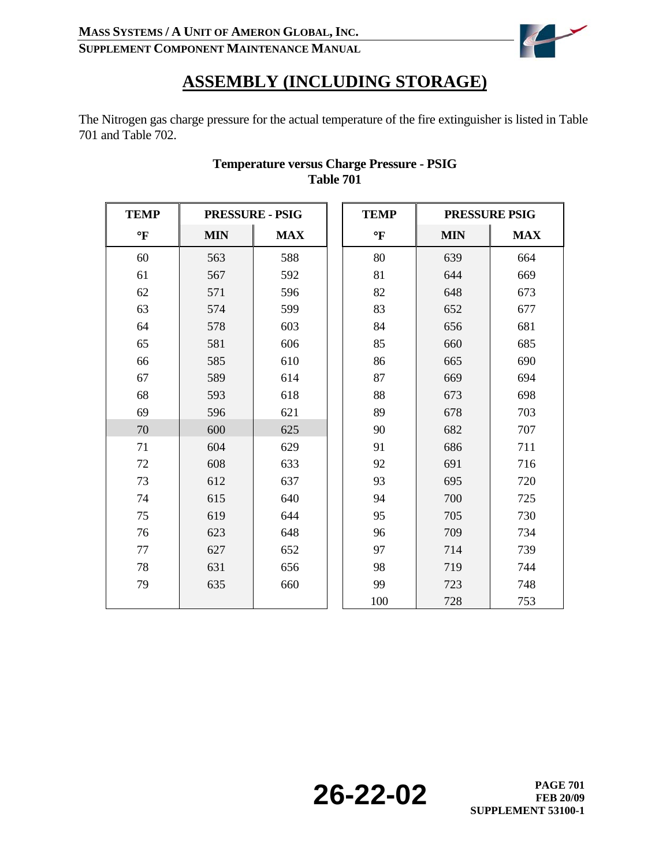

## **ASSEMBLY (INCLUDING STORAGE)**

The Nitrogen gas charge pressure for the actual temperature of the fire extinguisher is listed in Table 701 and Table 702.

| <b>TEMP</b>  | <b>PRESSURE - PSIG</b> |            | <b>TEMP</b>  |            | <b>PRESSURE PSIG</b> |
|--------------|------------------------|------------|--------------|------------|----------------------|
| $\mathbf{P}$ | <b>MIN</b>             | <b>MAX</b> | $\mathbf{P}$ | <b>MIN</b> | <b>MAX</b>           |
| 60           | 563                    | 588        | 80           | 639        | 664                  |
| 61           | 567                    | 592        | 81           | 644        | 669                  |
| 62           | 571                    | 596        | 82           | 648        | 673                  |
| 63           | 574                    | 599        | 83           | 652        | 677                  |
| 64           | 578                    | 603        | 84           | 656        | 681                  |
| 65           | 581                    | 606        | 85           | 660        | 685                  |
| 66           | 585                    | 610        | 86           | 665        | 690                  |
| 67           | 589                    | 614        | 87           | 669        | 694                  |
| 68           | 593                    | 618        | 88           | 673        | 698                  |
| 69           | 596                    | 621        | 89           | 678        | 703                  |
| 70           | 600                    | 625        | 90           | 682        | 707                  |
| 71           | 604                    | 629        | 91           | 686        | 711                  |
| 72           | 608                    | 633        | 92           | 691        | 716                  |
| 73           | 612                    | 637        | 93           | 695        | 720                  |
| 74           | 615                    | 640        | 94           | 700        | 725                  |
| 75           | 619                    | 644        | 95           | 705        | 730                  |
| 76           | 623                    | 648        | 96           | 709        | 734                  |
| 77           | 627                    | 652        | 97           | 714        | 739                  |
| 78           | 631                    | 656        | 98           | 719        | 744                  |
| 79           | 635                    | 660        | 99           | 723        | 748                  |
|              |                        |            | 100          | 728        | 753                  |

#### **Temperature versus Charge Pressure - PSIG Table 701**

**26-22-02 PAGE 701**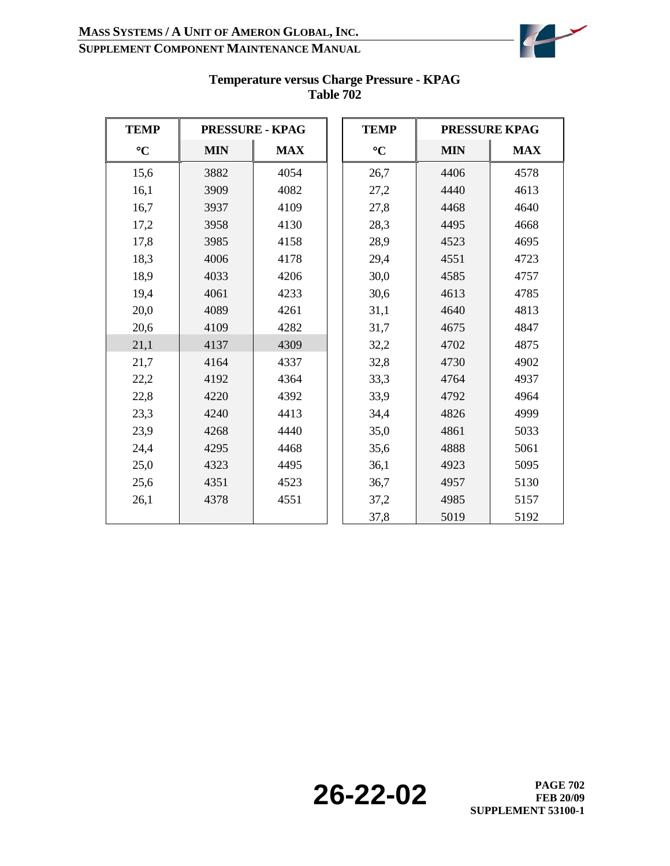

| <b>TEMP</b>     |            | <b>PRESSURE - KPAG</b> |  | <b>TEMP</b>     |            | <b>PRESSURE KPAG</b> |  |
|-----------------|------------|------------------------|--|-----------------|------------|----------------------|--|
| $\rm ^{\circ}C$ | <b>MIN</b> | <b>MAX</b>             |  | $\rm ^{\circ}C$ | <b>MIN</b> | <b>MAX</b>           |  |
| 15,6            | 3882       | 4054                   |  | 26,7            | 4406       | 4578                 |  |
| 16,1            | 3909       | 4082                   |  | 27,2            | 4440       | 4613                 |  |
| 16,7            | 3937       | 4109                   |  | 27,8            | 4468       | 4640                 |  |
| 17,2            | 3958       | 4130                   |  | 28,3            | 4495       | 4668                 |  |
| 17,8            | 3985       | 4158                   |  | 28,9            | 4523       | 4695                 |  |
| 18,3            | 4006       | 4178                   |  | 29,4            | 4551       | 4723                 |  |
| 18,9            | 4033       | 4206                   |  | 30,0            | 4585       | 4757                 |  |
| 19,4            | 4061       | 4233                   |  | 30,6            | 4613       | 4785                 |  |
| 20,0            | 4089       | 4261                   |  | 31,1            | 4640       | 4813                 |  |
| 20,6            | 4109       | 4282                   |  | 31,7            | 4675       | 4847                 |  |
| 21,1            | 4137       | 4309                   |  | 32,2            | 4702       | 4875                 |  |
| 21,7            | 4164       | 4337                   |  | 32,8            | 4730       | 4902                 |  |
| 22,2            | 4192       | 4364                   |  | 33,3            | 4764       | 4937                 |  |
| 22,8            | 4220       | 4392                   |  | 33,9            | 4792       | 4964                 |  |
| 23,3            | 4240       | 4413                   |  | 34,4            | 4826       | 4999                 |  |
| 23,9            | 4268       | 4440                   |  | 35,0            | 4861       | 5033                 |  |
| 24,4            | 4295       | 4468                   |  | 35,6            | 4888       | 5061                 |  |
| 25,0            | 4323       | 4495                   |  | 36,1            | 4923       | 5095                 |  |
| 25,6            | 4351       | 4523                   |  | 36,7            | 4957       | 5130                 |  |
| 26,1            | 4378       | 4551                   |  | 37,2            | 4985       | 5157                 |  |
|                 |            |                        |  | 37,8            | 5019       | 5192                 |  |

#### **Temperature versus Charge Pressure - KPAG Table 702**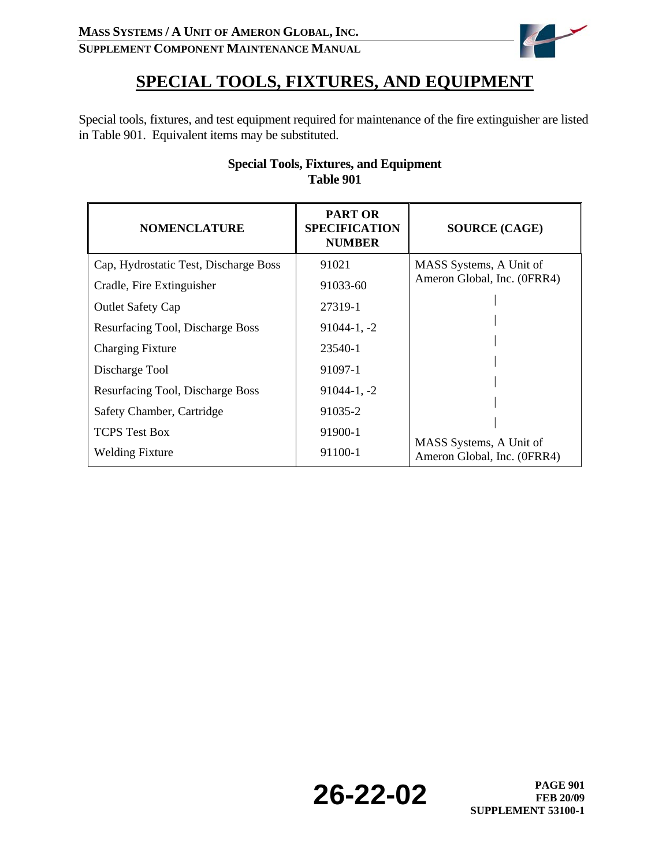

# **SPECIAL TOOLS, FIXTURES, AND EQUIPMENT**

Special tools, fixtures, and test equipment required for maintenance of the fire extinguisher are listed in Table 901. Equivalent items may be substituted.

| <b>NOMENCLATURE</b>                   | <b>PART OR</b><br><b>SPECIFICATION</b><br><b>NUMBER</b> | <b>SOURCE (CAGE)</b>                                   |
|---------------------------------------|---------------------------------------------------------|--------------------------------------------------------|
| Cap, Hydrostatic Test, Discharge Boss | 91021                                                   | MASS Systems, A Unit of                                |
| Cradle, Fire Extinguisher             | 91033-60                                                | Ameron Global, Inc. (0FRR4)                            |
| <b>Outlet Safety Cap</b>              | 27319-1                                                 |                                                        |
| Resurfacing Tool, Discharge Boss      | $91044 - 1, -2$                                         |                                                        |
| <b>Charging Fixture</b>               | 23540-1                                                 |                                                        |
| Discharge Tool                        | 91097-1                                                 |                                                        |
| Resurfacing Tool, Discharge Boss      | $91044 - 1, -2$                                         |                                                        |
| Safety Chamber, Cartridge             | 91035-2                                                 |                                                        |
| <b>TCPS</b> Test Box                  | 91900-1                                                 |                                                        |
| <b>Welding Fixture</b>                | 91100-1                                                 | MASS Systems, A Unit of<br>Ameron Global, Inc. (0FRR4) |

### **Special Tools, Fixtures, and Equipment Table 901**

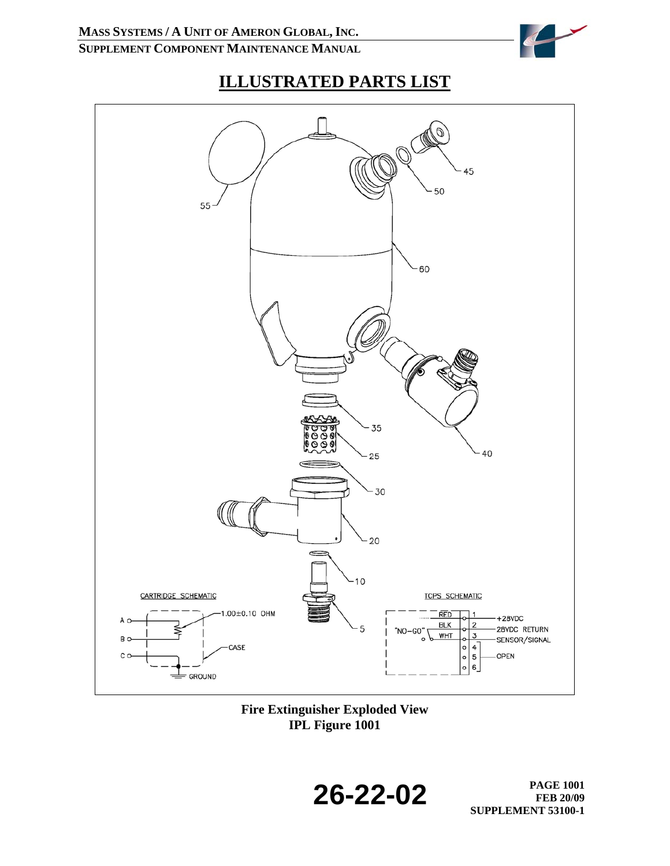

# **ILLUSTRATED PARTS LIST**



**Fire Extinguisher Exploded View IPL Figure 1001**